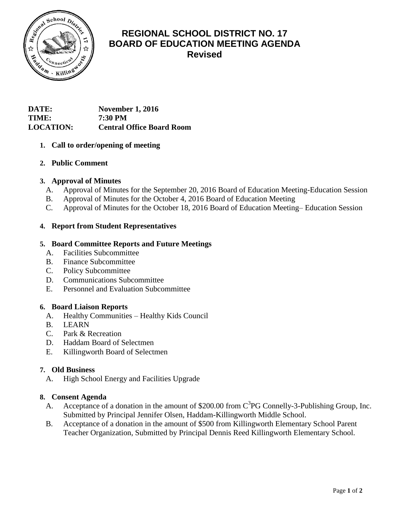

# **REGIONAL SCHOOL DISTRICT NO. 17 BOARD OF EDUCATION MEETING AGENDA Revised**

# **DATE: November 1, 2016 TIME: 7:30 PM LOCATION: Central Office Board Room**

# **1. Call to order/opening of meeting**

# **2. Public Comment**

# **3. Approval of Minutes**

- A. Approval of Minutes for the September 20, 2016 Board of Education Meeting-Education Session
- B. Approval of Minutes for the October 4, 2016 Board of Education Meeting
- C. Approval of Minutes for the October 18, 2016 Board of Education Meeting– Education Session

# **4. Report from Student Representatives**

## **5. Board Committee Reports and Future Meetings**

- A. Facilities Subcommittee
- B. Finance Subcommittee
- C. Policy Subcommittee
- D. Communications Subcommittee
- E. Personnel and Evaluation Subcommittee

## **6. Board Liaison Reports**

- A. Healthy Communities Healthy Kids Council
- B. LEARN
- C. Park & Recreation
- D. Haddam Board of Selectmen
- E. Killingworth Board of Selectmen

## **7. Old Business**

A. High School Energy and Facilities Upgrade

## **8. Consent Agenda**

- A. Acceptance of a donation in the amount of \$200.00 from  $C<sup>3</sup>PG$  Connelly-3-Publishing Group, Inc. Submitted by Principal Jennifer Olsen, Haddam-Killingworth Middle School.
- B. Acceptance of a donation in the amount of \$500 from Killingworth Elementary School Parent Teacher Organization, Submitted by Principal Dennis Reed Killingworth Elementary School.